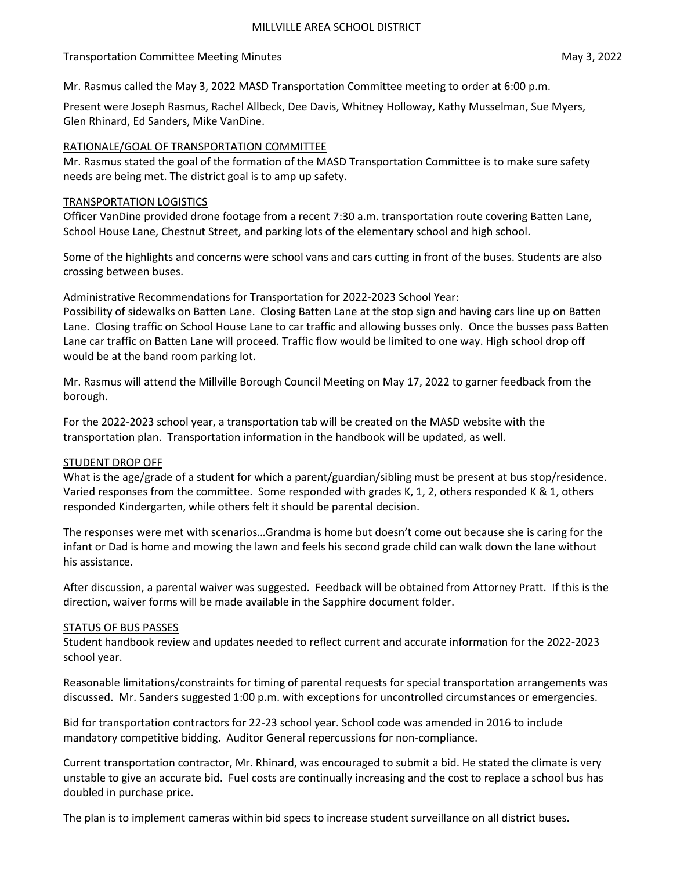### Transportation Committee Meeting Minutes May 3, 2022

Mr. Rasmus called the May 3, 2022 MASD Transportation Committee meeting to order at 6:00 p.m.

Present were Joseph Rasmus, Rachel Allbeck, Dee Davis, Whitney Holloway, Kathy Musselman, Sue Myers, Glen Rhinard, Ed Sanders, Mike VanDine.

## RATIONALE/GOAL OF TRANSPORTATION COMMITTEE

Mr. Rasmus stated the goal of the formation of the MASD Transportation Committee is to make sure safety needs are being met. The district goal is to amp up safety.

### TRANSPORTATION LOGISTICS

Officer VanDine provided drone footage from a recent 7:30 a.m. transportation route covering Batten Lane, School House Lane, Chestnut Street, and parking lots of the elementary school and high school.

Some of the highlights and concerns were school vans and cars cutting in front of the buses. Students are also crossing between buses.

Administrative Recommendations for Transportation for 2022-2023 School Year:

Possibility of sidewalks on Batten Lane. Closing Batten Lane at the stop sign and having cars line up on Batten Lane. Closing traffic on School House Lane to car traffic and allowing busses only. Once the busses pass Batten Lane car traffic on Batten Lane will proceed. Traffic flow would be limited to one way. High school drop off would be at the band room parking lot.

Mr. Rasmus will attend the Millville Borough Council Meeting on May 17, 2022 to garner feedback from the borough.

For the 2022-2023 school year, a transportation tab will be created on the MASD website with the transportation plan. Transportation information in the handbook will be updated, as well.

# STUDENT DROP OFF

What is the age/grade of a student for which a parent/guardian/sibling must be present at bus stop/residence. Varied responses from the committee. Some responded with grades K, 1, 2, others responded K & 1, others responded Kindergarten, while others felt it should be parental decision.

The responses were met with scenarios…Grandma is home but doesn't come out because she is caring for the infant or Dad is home and mowing the lawn and feels his second grade child can walk down the lane without his assistance.

After discussion, a parental waiver was suggested. Feedback will be obtained from Attorney Pratt. If this is the direction, waiver forms will be made available in the Sapphire document folder.

#### STATUS OF BUS PASSES

Student handbook review and updates needed to reflect current and accurate information for the 2022-2023 school year.

Reasonable limitations/constraints for timing of parental requests for special transportation arrangements was discussed. Mr. Sanders suggested 1:00 p.m. with exceptions for uncontrolled circumstances or emergencies.

Bid for transportation contractors for 22-23 school year. School code was amended in 2016 to include mandatory competitive bidding. Auditor General repercussions for non-compliance.

Current transportation contractor, Mr. Rhinard, was encouraged to submit a bid. He stated the climate is very unstable to give an accurate bid. Fuel costs are continually increasing and the cost to replace a school bus has doubled in purchase price.

The plan is to implement cameras within bid specs to increase student surveillance on all district buses.